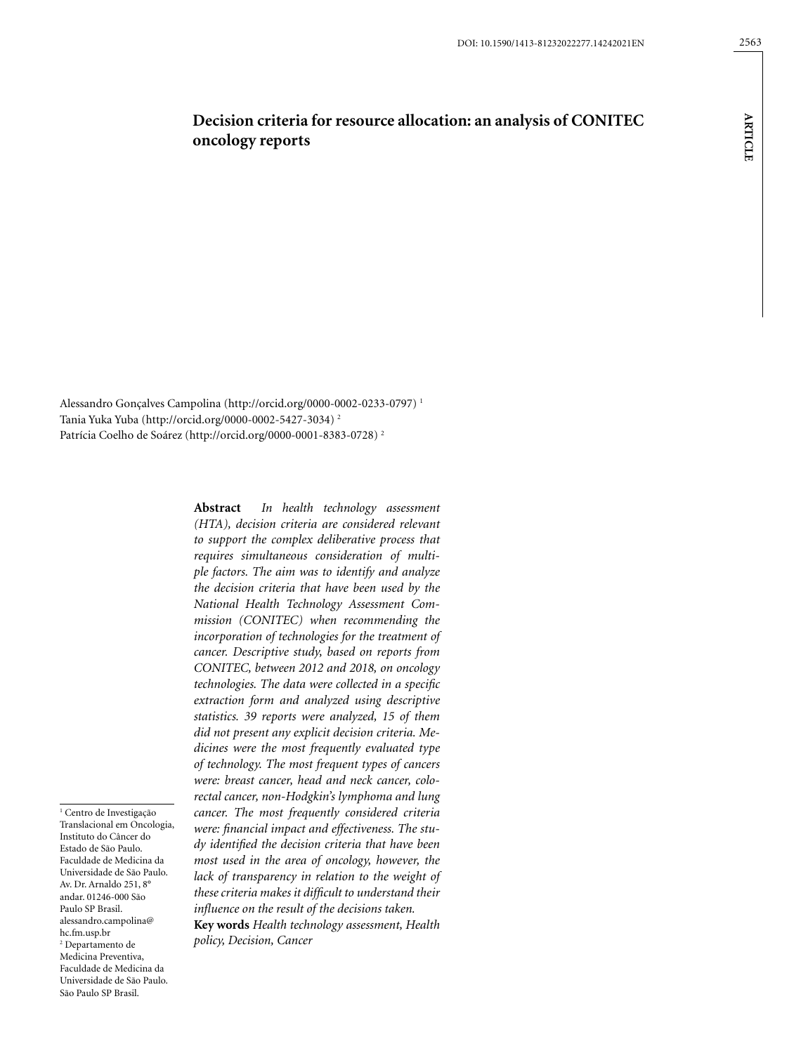**ARTICLE**

**ARTICLE** 

# **Decision criteria for resource allocation: an analysis of CONITEC oncology reports**

Alessandro Gonçalves Campolina (http://orcid.org/0000-0002-0233-0797) 1 Tania Yuka Yuba (http://orcid.org/0000-0002-5427-3034) 2 Patrícia Coelho de Soárez (http://orcid.org/0000-0001-8383-0728) 2

> **Abstract** *In health technology assessment (HTA), decision criteria are considered relevant to support the complex deliberative process that requires simultaneous consideration of multiple factors. The aim was to identify and analyze the decision criteria that have been used by the National Health Technology Assessment Commission (CONITEC) when recommending the incorporation of technologies for the treatment of cancer. Descriptive study, based on reports from CONITEC, between 2012 and 2018, on oncology technologies. The data were collected in a specific extraction form and analyzed using descriptive statistics. 39 reports were analyzed, 15 of them did not present any explicit decision criteria. Medicines were the most frequently evaluated type of technology. The most frequent types of cancers were: breast cancer, head and neck cancer, colorectal cancer, non-Hodgkin's lymphoma and lung cancer. The most frequently considered criteria were: financial impact and effectiveness. The study identified the decision criteria that have been most used in the area of oncology, however, the lack of transparency in relation to the weight of these criteria makes it difficult to understand their influence on the result of the decisions taken.*

> **Key words** *Health technology assessment, Health policy, Decision, Cancer*

<sup>1</sup> Centro de Investigação Translacional em Oncologia, Instituto do Câncer do Estado de São Paulo. Faculdade de Medicina da Universidade de São Paulo. Av. Dr. Arnaldo 251, 8° andar. 01246-000 São Paulo SP Brasil. alessandro.campolina@ hc.fm.usp.br 2 Departamento de Medicina Preventiva, Faculdade de Medicina da Universidade de São Paulo. São Paulo SP Brasil.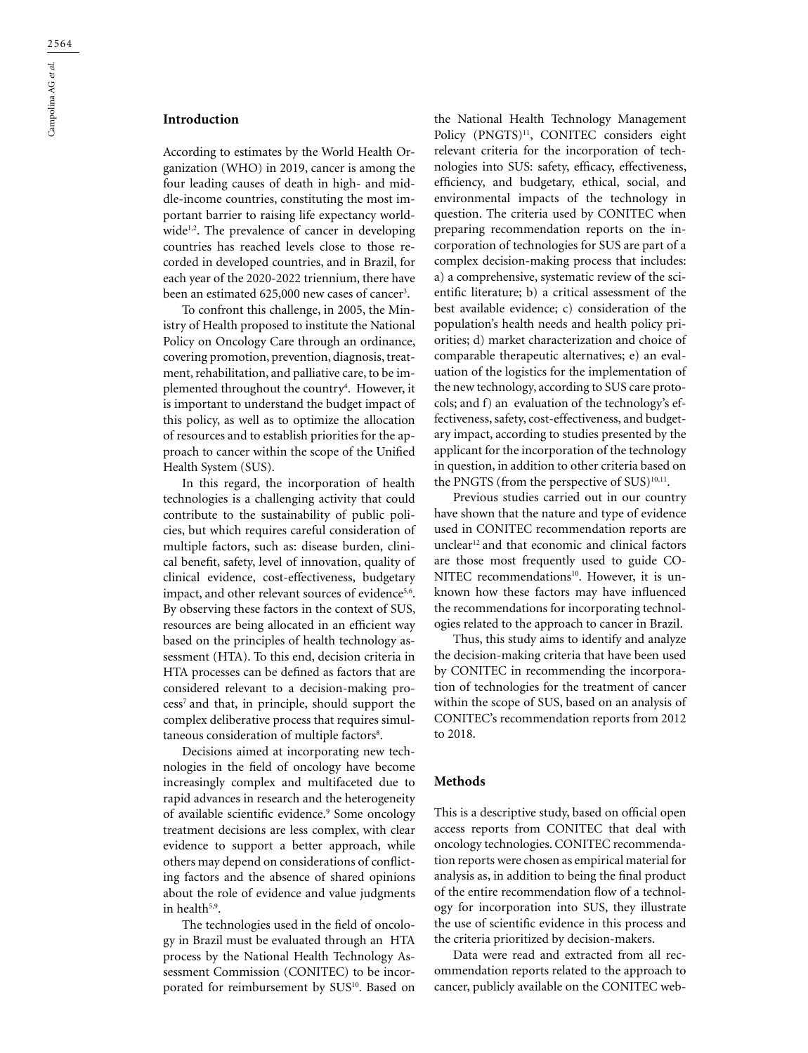# **Introduction**

According to estimates by the World Health Organization (WHO) in 2019, cancer is among the four leading causes of death in high- and middle-income countries, constituting the most important barrier to raising life expectancy worldwide<sup>1,2</sup>. The prevalence of cancer in developing countries has reached levels close to those recorded in developed countries, and in Brazil, for each year of the 2020-2022 triennium, there have been an estimated 625,000 new cases of cancer<sup>3</sup>.

To confront this challenge, in 2005, the Ministry of Health proposed to institute the National Policy on Oncology Care through an ordinance, covering promotion, prevention, diagnosis, treatment, rehabilitation, and palliative care, to be implemented throughout the country<sup>4</sup>. However, it is important to understand the budget impact of this policy, as well as to optimize the allocation of resources and to establish priorities for the approach to cancer within the scope of the Unified Health System (SUS).

In this regard, the incorporation of health technologies is a challenging activity that could contribute to the sustainability of public policies, but which requires careful consideration of multiple factors, such as: disease burden, clinical benefit, safety, level of innovation, quality of clinical evidence, cost-effectiveness, budgetary impact, and other relevant sources of evidence<sup>5,6</sup>. By observing these factors in the context of SUS, resources are being allocated in an efficient way based on the principles of health technology assessment (HTA). To this end, decision criteria in HTA processes can be defined as factors that are considered relevant to a decision-making process7 and that, in principle, should support the complex deliberative process that requires simultaneous consideration of multiple factors<sup>8</sup>.

Decisions aimed at incorporating new technologies in the field of oncology have become increasingly complex and multifaceted due to rapid advances in research and the heterogeneity of available scientific evidence.<sup>9</sup> Some oncology treatment decisions are less complex, with clear evidence to support a better approach, while others may depend on considerations of conflicting factors and the absence of shared opinions about the role of evidence and value judgments in health $5,9$ .

The technologies used in the field of oncology in Brazil must be evaluated through an HTA process by the National Health Technology Assessment Commission (CONITEC) to be incorporated for reimbursement by SUS<sup>10</sup>. Based on the National Health Technology Management Policy (PNGTS)<sup>11</sup>, CONITEC considers eight relevant criteria for the incorporation of technologies into SUS: safety, efficacy, effectiveness, efficiency, and budgetary, ethical, social, and environmental impacts of the technology in question. The criteria used by CONITEC when preparing recommendation reports on the incorporation of technologies for SUS are part of a complex decision-making process that includes: a) a comprehensive, systematic review of the scientific literature; b) a critical assessment of the best available evidence; c) consideration of the population's health needs and health policy priorities; d) market characterization and choice of comparable therapeutic alternatives; e) an evaluation of the logistics for the implementation of the new technology, according to SUS care protocols; and f) an evaluation of the technology's effectiveness, safety, cost-effectiveness, and budgetary impact, according to studies presented by the applicant for the incorporation of the technology in question, in addition to other criteria based on the PNGTS (from the perspective of SUS)<sup>10,11</sup>.

Previous studies carried out in our country have shown that the nature and type of evidence used in CONITEC recommendation reports are unclear<sup>12</sup> and that economic and clinical factors are those most frequently used to guide CO-NITEC recommendations<sup>10</sup>. However, it is unknown how these factors may have influenced the recommendations for incorporating technologies related to the approach to cancer in Brazil.

Thus, this study aims to identify and analyze the decision-making criteria that have been used by CONITEC in recommending the incorporation of technologies for the treatment of cancer within the scope of SUS, based on an analysis of CONITEC's recommendation reports from 2012 to 2018.

#### **Methods**

This is a descriptive study, based on official open access reports from CONITEC that deal with oncology technologies. CONITEC recommendation reports were chosen as empirical material for analysis as, in addition to being the final product of the entire recommendation flow of a technology for incorporation into SUS, they illustrate the use of scientific evidence in this process and the criteria prioritized by decision-makers.

Data were read and extracted from all recommendation reports related to the approach to cancer, publicly available on the CONITEC web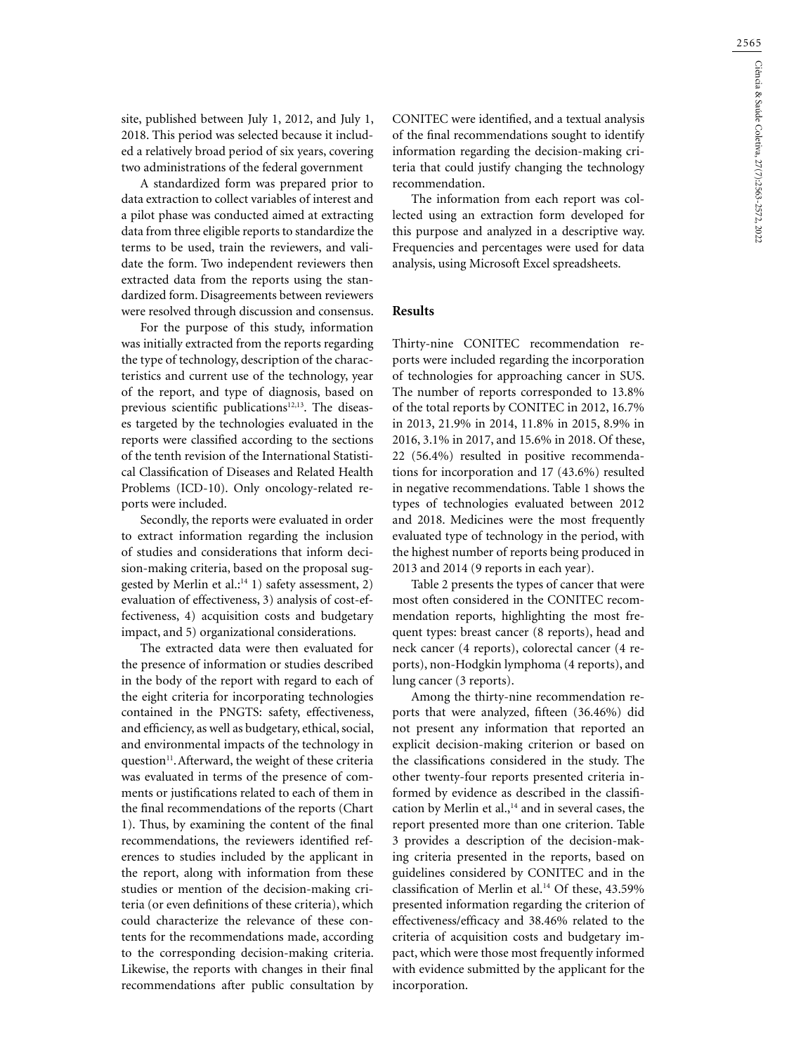site, published between July 1, 2012, and July 1, 2018. This period was selected because it included a relatively broad period of six years, covering two administrations of the federal government

A standardized form was prepared prior to data extraction to collect variables of interest and a pilot phase was conducted aimed at extracting data from three eligible reports to standardize the terms to be used, train the reviewers, and validate the form. Two independent reviewers then extracted data from the reports using the standardized form. Disagreements between reviewers were resolved through discussion and consensus.

For the purpose of this study, information was initially extracted from the reports regarding the type of technology, description of the characteristics and current use of the technology, year of the report, and type of diagnosis, based on previous scientific publications<sup>12,13</sup>. The diseases targeted by the technologies evaluated in the reports were classified according to the sections of the tenth revision of the International Statistical Classification of Diseases and Related Health Problems (ICD-10). Only oncology-related reports were included.

Secondly, the reports were evaluated in order to extract information regarding the inclusion of studies and considerations that inform decision-making criteria, based on the proposal suggested by Merlin et al.:<sup>14</sup> 1) safety assessment, 2) evaluation of effectiveness, 3) analysis of cost-effectiveness, 4) acquisition costs and budgetary impact, and 5) organizational considerations.

The extracted data were then evaluated for the presence of information or studies described in the body of the report with regard to each of the eight criteria for incorporating technologies contained in the PNGTS: safety, effectiveness, and efficiency, as well as budgetary, ethical, social, and environmental impacts of the technology in question<sup>11</sup>. Afterward, the weight of these criteria was evaluated in terms of the presence of comments or justifications related to each of them in the final recommendations of the reports (Chart 1). Thus, by examining the content of the final recommendations, the reviewers identified references to studies included by the applicant in the report, along with information from these studies or mention of the decision-making criteria (or even definitions of these criteria), which could characterize the relevance of these contents for the recommendations made, according to the corresponding decision-making criteria. Likewise, the reports with changes in their final recommendations after public consultation by CONITEC were identified, and a textual analysis of the final recommendations sought to identify information regarding the decision-making criteria that could justify changing the technology recommendation.

The information from each report was collected using an extraction form developed for this purpose and analyzed in a descriptive way. Frequencies and percentages were used for data analysis, using Microsoft Excel spreadsheets.

### **Results**

Thirty-nine CONITEC recommendation reports were included regarding the incorporation of technologies for approaching cancer in SUS. The number of reports corresponded to 13.8% of the total reports by CONITEC in 2012, 16.7% in 2013, 21.9% in 2014, 11.8% in 2015, 8.9% in 2016, 3.1% in 2017, and 15.6% in 2018. Of these, 22 (56.4%) resulted in positive recommendations for incorporation and 17 (43.6%) resulted in negative recommendations. Table 1 shows the types of technologies evaluated between 2012 and 2018. Medicines were the most frequently evaluated type of technology in the period, with the highest number of reports being produced in 2013 and 2014 (9 reports in each year).

Table 2 presents the types of cancer that were most often considered in the CONITEC recommendation reports, highlighting the most frequent types: breast cancer (8 reports), head and neck cancer (4 reports), colorectal cancer (4 reports), non-Hodgkin lymphoma (4 reports), and lung cancer (3 reports).

Among the thirty-nine recommendation reports that were analyzed, fifteen (36.46%) did not present any information that reported an explicit decision-making criterion or based on the classifications considered in the study. The other twenty-four reports presented criteria informed by evidence as described in the classification by Merlin et al., $14$  and in several cases, the report presented more than one criterion. Table 3 provides a description of the decision-making criteria presented in the reports, based on guidelines considered by CONITEC and in the classification of Merlin et al.<sup>14</sup> Of these, 43.59% presented information regarding the criterion of effectiveness/efficacy and 38.46% related to the criteria of acquisition costs and budgetary impact, which were those most frequently informed with evidence submitted by the applicant for the incorporation.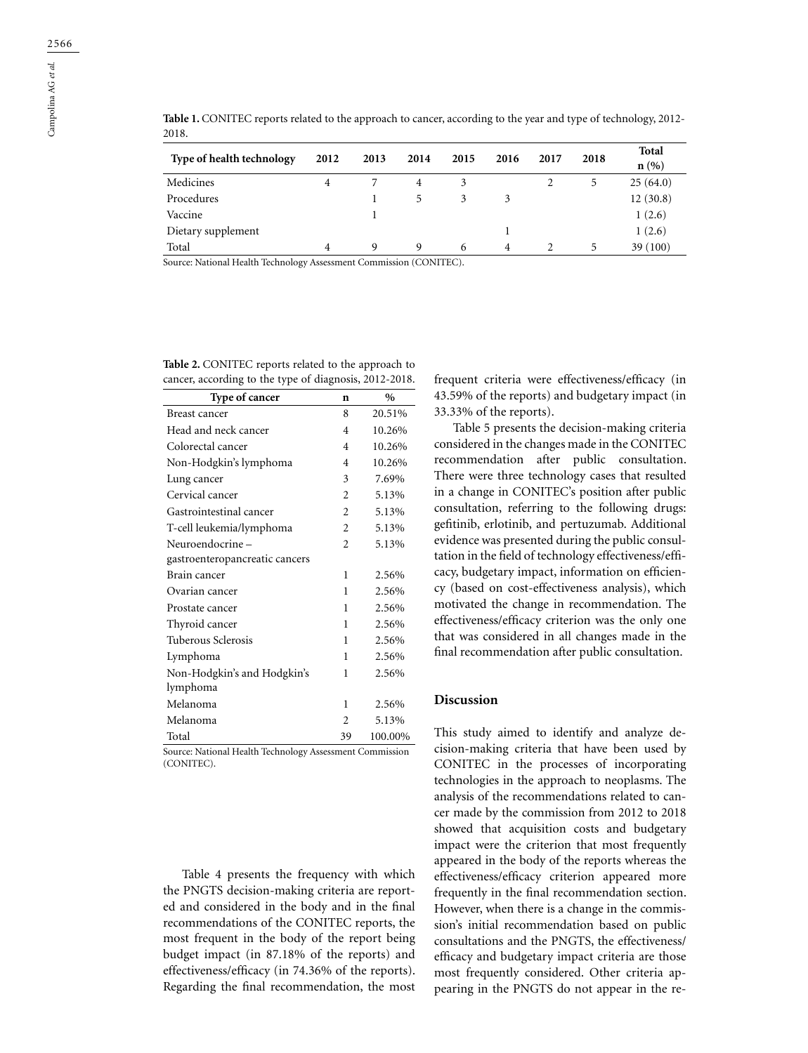| Type of health technology | 2012 | 2013 | 2014 | 2015 | 2016           | 2017 | 2018 | Total<br>n(% ) |
|---------------------------|------|------|------|------|----------------|------|------|----------------|
| Medicines                 | 4    |      | 4    | 3    |                |      | 5    | 25(64.0)       |
| Procedures                |      |      | 5    | 3    |                |      |      | 12(30.8)       |
| Vaccine                   |      |      |      |      |                |      |      | 1(2.6)         |
| Dietary supplement        |      |      |      |      |                |      |      | 1(2.6)         |
| Total                     | 4    | q    | 9    | 6    | $\overline{4}$ |      | 5    | 39 (100)       |

Table 1. CONITEC reports related to the approach to cancer, according to the year and type of technology, 2012-2018.

Source: National Health Technology Assessment Commission (CONITEC).

**Table 2.** CONITEC reports related to the approach to cancer, according to the type of diagnosis, 2012-2018.

| Type of cancer                 | n              | $\frac{0}{0}$ |
|--------------------------------|----------------|---------------|
| <b>Breast cancer</b>           | 8              | 20.51%        |
| Head and neck cancer           | 4              | 10.26%        |
| Colorectal cancer              | 4              | 10.26%        |
| Non-Hodgkin's lymphoma         | 4              | 10.26%        |
| Lung cancer                    | 3              | 7.69%         |
| Cervical cancer                | $\mathfrak{D}$ | 5.13%         |
| Gastrointestinal cancer        | $\mathfrak{D}$ | 5.13%         |
| T-cell leukemia/lymphoma       | 2              | 5.13%         |
| Neuroendocrine-                | $\overline{c}$ | 5.13%         |
| gastroenteropancreatic cancers |                |               |
| Brain cancer                   | 1              | 2.56%         |
| Ovarian cancer                 | 1              | 2.56%         |
| Prostate cancer                | 1              | 2.56%         |
| Thyroid cancer                 | 1              | 2.56%         |
| Tuberous Sclerosis             | 1              | 2.56%         |
| Lymphoma                       | 1              | 2.56%         |
| Non-Hodgkin's and Hodgkin's    | 1              | 2.56%         |
| lymphoma                       |                |               |
| Melanoma                       | 1              | 2.56%         |
| Melanoma                       | $\mathfrak{D}$ | 5.13%         |
| Total                          | 39             | 100.00%       |

Source: National Health Technology Assessment Commission (CONITEC).

Table 4 presents the frequency with which the PNGTS decision-making criteria are reported and considered in the body and in the final recommendations of the CONITEC reports, the most frequent in the body of the report being budget impact (in 87.18% of the reports) and effectiveness/efficacy (in 74.36% of the reports). Regarding the final recommendation, the most

frequent criteria were effectiveness/efficacy (in 43.59% of the reports) and budgetary impact (in 33.33% of the reports).

Table 5 presents the decision-making criteria considered in the changes made in the CONITEC recommendation after public consultation. There were three technology cases that resulted in a change in CONITEC's position after public consultation, referring to the following drugs: gefitinib, erlotinib, and pertuzumab. Additional evidence was presented during the public consultation in the field of technology effectiveness/efficacy, budgetary impact, information on efficiency (based on cost-effectiveness analysis), which motivated the change in recommendation. The effectiveness/efficacy criterion was the only one that was considered in all changes made in the final recommendation after public consultation.

## **Discussion**

This study aimed to identify and analyze decision-making criteria that have been used by CONITEC in the processes of incorporating technologies in the approach to neoplasms. The analysis of the recommendations related to cancer made by the commission from 2012 to 2018 showed that acquisition costs and budgetary impact were the criterion that most frequently appeared in the body of the reports whereas the effectiveness/efficacy criterion appeared more frequently in the final recommendation section. However, when there is a change in the commission's initial recommendation based on public consultations and the PNGTS, the effectiveness/ efficacy and budgetary impact criteria are those most frequently considered. Other criteria appearing in the PNGTS do not appear in the re-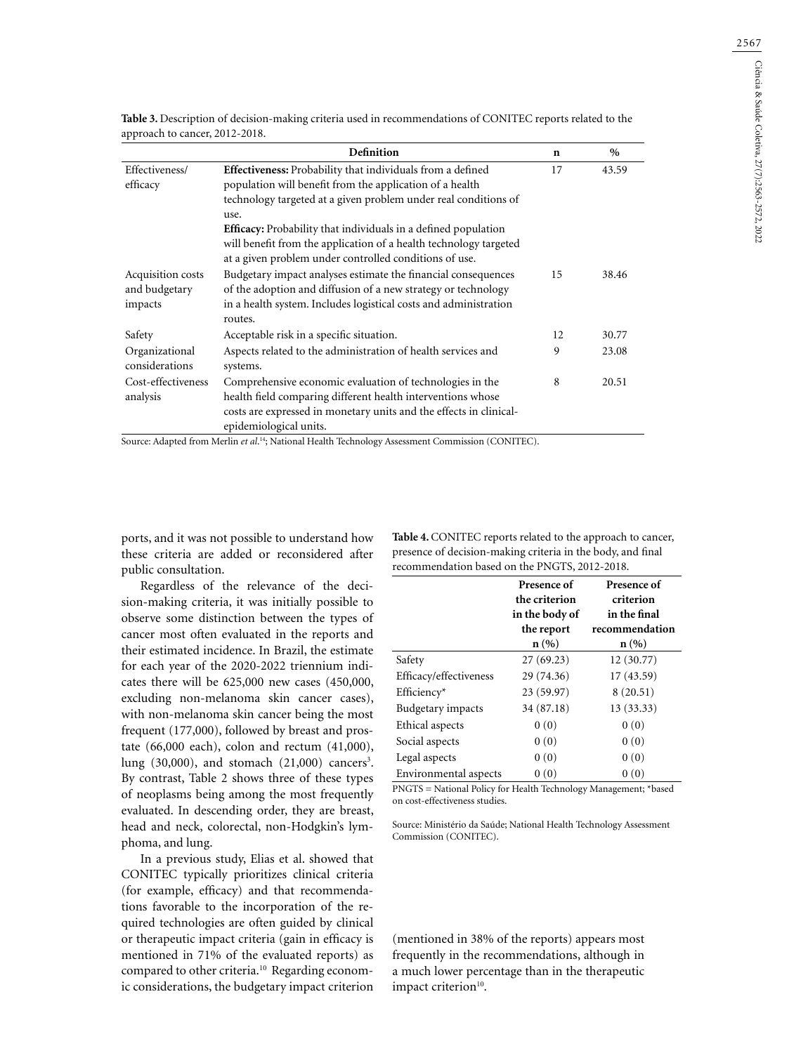2567

|                                               | Definition                                                                                                                                                                                                              | $\mathbf n$ | $\%$  |
|-----------------------------------------------|-------------------------------------------------------------------------------------------------------------------------------------------------------------------------------------------------------------------------|-------------|-------|
| Effectiveness/<br>efficacy                    | <b>Effectiveness:</b> Probability that individuals from a defined<br>population will benefit from the application of a health<br>technology targeted at a given problem under real conditions of<br>use.                | 17          | 43.59 |
|                                               | <b>Efficacy:</b> Probability that individuals in a defined population<br>will benefit from the application of a health technology targeted<br>at a given problem under controlled conditions of use.                    |             |       |
| Acquisition costs<br>and budgetary<br>impacts | Budgetary impact analyses estimate the financial consequences<br>of the adoption and diffusion of a new strategy or technology<br>in a health system. Includes logistical costs and administration<br>routes.           | 15          | 38.46 |
| Safety                                        | Acceptable risk in a specific situation.                                                                                                                                                                                | 12          | 30.77 |
| Organizational<br>considerations              | Aspects related to the administration of health services and<br>systems.                                                                                                                                                | 9           | 23.08 |
| Cost-effectiveness<br>analysis                | Comprehensive economic evaluation of technologies in the<br>health field comparing different health interventions whose<br>costs are expressed in monetary units and the effects in clinical-<br>epidemiological units. | 8           | 20.51 |

**Table 3.** Description of decision-making criteria used in recommendations of CONITEC reports related to the approach to cancer, 2012-2018.

Source: Adapted from Merlin *et al*. 14; National Health Technology Assessment Commission (CONITEC).

ports, and it was not possible to understand how these criteria are added or reconsidered after public consultation.

Regardless of the relevance of the decision-making criteria, it was initially possible to observe some distinction between the types of cancer most often evaluated in the reports and their estimated incidence. In Brazil, the estimate for each year of the 2020-2022 triennium indicates there will be 625,000 new cases (450,000, excluding non-melanoma skin cancer cases), with non-melanoma skin cancer being the most frequent (177,000), followed by breast and prostate (66,000 each), colon and rectum (41,000), lung (30,000), and stomach (21,000) cancers<sup>3</sup>. By contrast, Table 2 shows three of these types of neoplasms being among the most frequently evaluated. In descending order, they are breast, head and neck, colorectal, non-Hodgkin's lymphoma, and lung.

In a previous study, Elias et al. showed that CONITEC typically prioritizes clinical criteria (for example, efficacy) and that recommendations favorable to the incorporation of the required technologies are often guided by clinical or therapeutic impact criteria (gain in efficacy is mentioned in 71% of the evaluated reports) as compared to other criteria.10 Regarding economic considerations, the budgetary impact criterion

**Table 4.** CONITEC reports related to the approach to cancer, presence of decision-making criteria in the body, and final recommendation based on the PNGTS, 2012-2018.

|                        | Presence of<br>the criterion<br>in the body of<br>the report<br>n(%) | Presence of<br>criterion<br>in the final<br>recommendation<br>n(%) |
|------------------------|----------------------------------------------------------------------|--------------------------------------------------------------------|
| Safety                 | 27(69.23)                                                            | 12(30.77)                                                          |
| Efficacy/effectiveness | 29 (74.36)                                                           | 17 (43.59)                                                         |
| Efficiency*            | 23 (59.97)                                                           | 8(20.51)                                                           |
| Budgetary impacts      | 34 (87.18)                                                           | 13 (33.33)                                                         |
| Ethical aspects        | 0(0)                                                                 | 0(0)                                                               |
| Social aspects         | 0(0)                                                                 | 0(0)                                                               |
| Legal aspects          | 0(0)                                                                 | 0(0)                                                               |
| Environmental aspects  | 0(0)                                                                 | 0(0)                                                               |

PNGTS = National Policy for Health Technology Management; \*based on cost-effectiveness studies.

Source: Ministério da Saúde; National Health Technology Assessment Commission (CONITEC).

(mentioned in 38% of the reports) appears most frequently in the recommendations, although in a much lower percentage than in the therapeutic impact criterion<sup>10</sup>.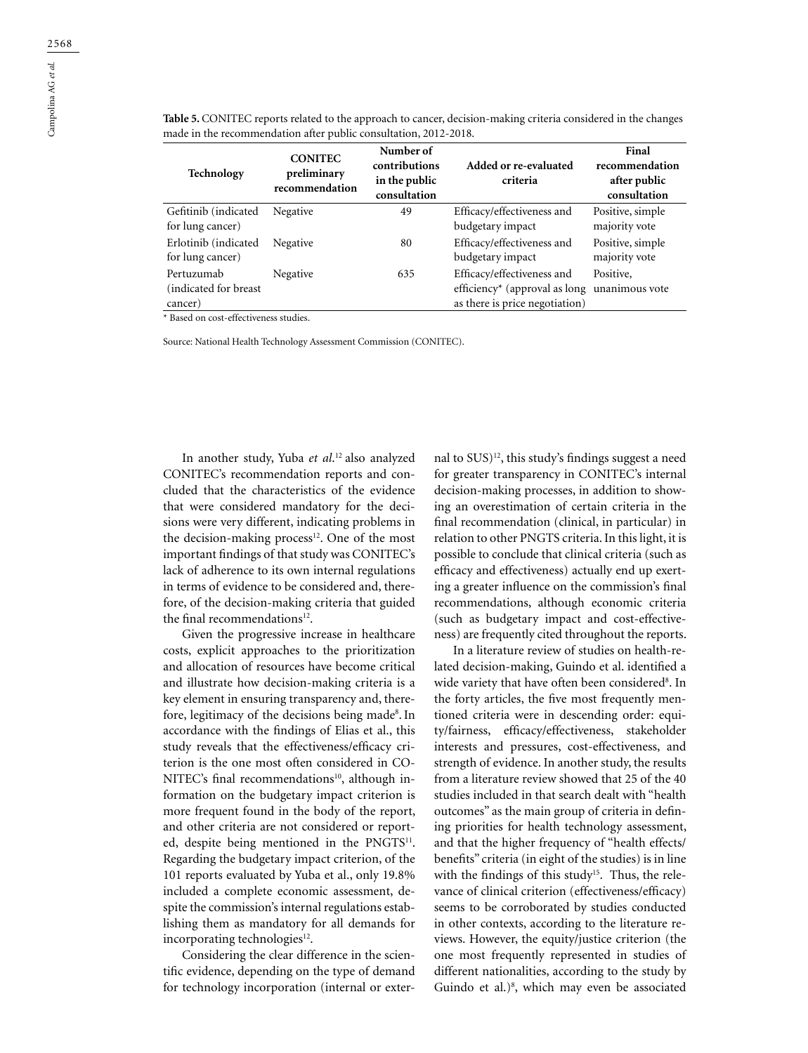| Table 5. CONITEC reports related to the approach to cancer, decision-making criteria considered in the changes |
|----------------------------------------------------------------------------------------------------------------|
| made in the recommendation after public consultation, 2012-2018.                                               |

| <b>Technology</b>                              | <b>CONITEC</b><br>preliminary<br>recommendation | Number of<br>contributions<br>in the public<br>consultation | Added or re-evaluated<br>criteria                                                                            | Final<br>recommendation<br>after public<br>consultation |
|------------------------------------------------|-------------------------------------------------|-------------------------------------------------------------|--------------------------------------------------------------------------------------------------------------|---------------------------------------------------------|
| Gefitinib (indicated<br>for lung cancer)       | Negative                                        | 49                                                          | Efficacy/effectiveness and<br>budgetary impact                                                               | Positive, simple<br>majority vote                       |
| Erlotinib (indicated<br>for lung cancer)       | Negative                                        | 80                                                          | Efficacy/effectiveness and<br>budgetary impact                                                               | Positive, simple<br>majority vote                       |
| Pertuzumab<br>indicated for breast)<br>cancer) | Negative                                        | 635                                                         | Efficacy/effectiveness and<br>efficiency* (approval as long unanimous vote<br>as there is price negotiation) | Positive,                                               |

\* Based on cost-effectiveness studies.

Source: National Health Technology Assessment Commission (CONITEC).

In another study, Yuba *et al*. 12 also analyzed CONITEC's recommendation reports and concluded that the characteristics of the evidence that were considered mandatory for the decisions were very different, indicating problems in the decision-making process<sup>12</sup>. One of the most important findings of that study was CONITEC's lack of adherence to its own internal regulations in terms of evidence to be considered and, therefore, of the decision-making criteria that guided the final recommendations<sup>12</sup>.

Given the progressive increase in healthcare costs, explicit approaches to the prioritization and allocation of resources have become critical and illustrate how decision-making criteria is a key element in ensuring transparency and, therefore, legitimacy of the decisions being made<sup>8</sup>. In accordance with the findings of Elias et al., this study reveals that the effectiveness/efficacy criterion is the one most often considered in CO-NITEC's final recommendations<sup>10</sup>, although information on the budgetary impact criterion is more frequent found in the body of the report, and other criteria are not considered or reported, despite being mentioned in the PNGTS<sup>11</sup>. Regarding the budgetary impact criterion, of the 101 reports evaluated by Yuba et al., only 19.8% included a complete economic assessment, despite the commission's internal regulations establishing them as mandatory for all demands for incorporating technologies<sup>12</sup>.

Considering the clear difference in the scientific evidence, depending on the type of demand for technology incorporation (internal or external to  $SUS$ <sup>12</sup>, this study's findings suggest a need for greater transparency in CONITEC's internal decision-making processes, in addition to showing an overestimation of certain criteria in the final recommendation (clinical, in particular) in relation to other PNGTS criteria. In this light, it is possible to conclude that clinical criteria (such as efficacy and effectiveness) actually end up exerting a greater influence on the commission's final recommendations, although economic criteria (such as budgetary impact and cost-effectiveness) are frequently cited throughout the reports.

In a literature review of studies on health-related decision-making, Guindo et al. identified a wide variety that have often been considered<sup>8</sup>. In the forty articles, the five most frequently mentioned criteria were in descending order: equity/fairness, efficacy/effectiveness, stakeholder interests and pressures, cost-effectiveness, and strength of evidence. In another study, the results from a literature review showed that 25 of the 40 studies included in that search dealt with "health outcomes" as the main group of criteria in defining priorities for health technology assessment, and that the higher frequency of "health effects/ benefits" criteria (in eight of the studies) is in line with the findings of this study<sup>15</sup>. Thus, the relevance of clinical criterion (effectiveness/efficacy) seems to be corroborated by studies conducted in other contexts, according to the literature reviews. However, the equity/justice criterion (the one most frequently represented in studies of different nationalities, according to the study by Guindo et al.)<sup>8</sup>, which may even be associated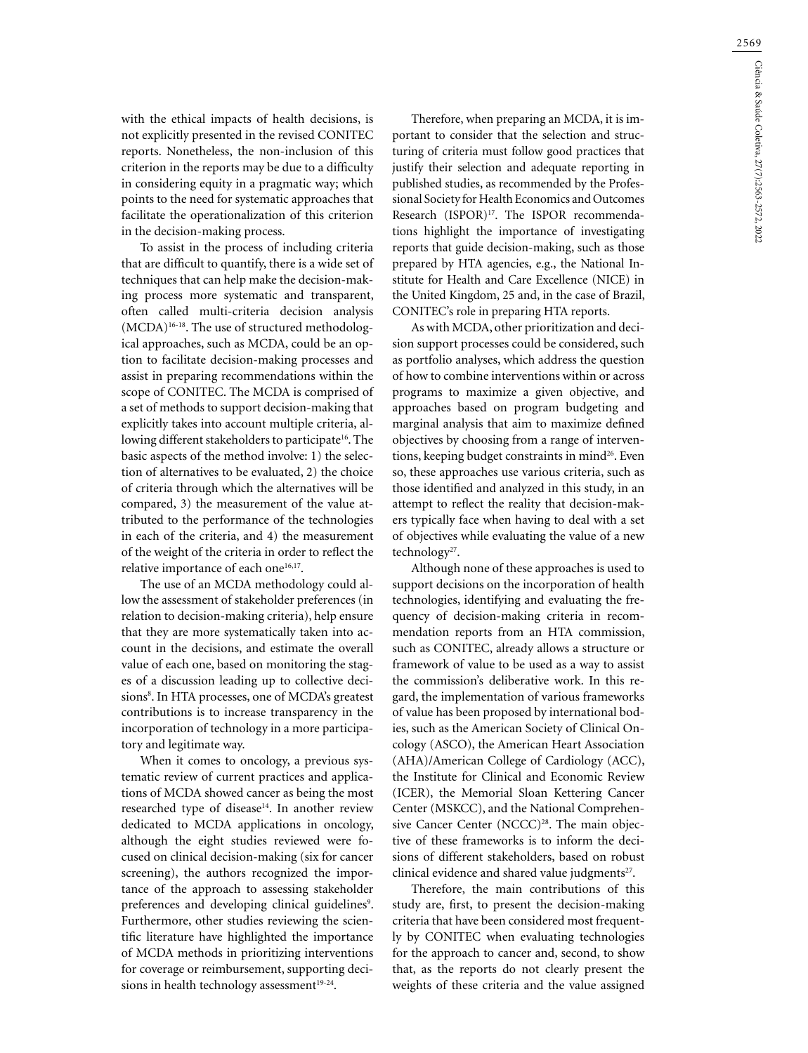2569

with the ethical impacts of health decisions, is not explicitly presented in the revised CONITEC reports. Nonetheless, the non-inclusion of this criterion in the reports may be due to a difficulty in considering equity in a pragmatic way; which points to the need for systematic approaches that facilitate the operationalization of this criterion in the decision-making process.

To assist in the process of including criteria that are difficult to quantify, there is a wide set of techniques that can help make the decision-making process more systematic and transparent, often called multi-criteria decision analysis (MCDA)16-18. The use of structured methodological approaches, such as MCDA, could be an option to facilitate decision-making processes and assist in preparing recommendations within the scope of CONITEC. The MCDA is comprised of a set of methods to support decision-making that explicitly takes into account multiple criteria, allowing different stakeholders to participate<sup>16</sup>. The basic aspects of the method involve: 1) the selection of alternatives to be evaluated, 2) the choice of criteria through which the alternatives will be compared, 3) the measurement of the value attributed to the performance of the technologies in each of the criteria, and 4) the measurement of the weight of the criteria in order to reflect the relative importance of each one<sup>16,17</sup>.

The use of an MCDA methodology could allow the assessment of stakeholder preferences (in relation to decision-making criteria), help ensure that they are more systematically taken into account in the decisions, and estimate the overall value of each one, based on monitoring the stages of a discussion leading up to collective decisions<sup>8</sup>. In HTA processes, one of MCDA's greatest contributions is to increase transparency in the incorporation of technology in a more participatory and legitimate way.

When it comes to oncology, a previous systematic review of current practices and applications of MCDA showed cancer as being the most researched type of disease<sup>14</sup>. In another review dedicated to MCDA applications in oncology, although the eight studies reviewed were focused on clinical decision-making (six for cancer screening), the authors recognized the importance of the approach to assessing stakeholder preferences and developing clinical guidelines<sup>9</sup>. Furthermore, other studies reviewing the scientific literature have highlighted the importance of MCDA methods in prioritizing interventions for coverage or reimbursement, supporting decisions in health technology assessment $19-24$ .

Therefore, when preparing an MCDA, it is important to consider that the selection and structuring of criteria must follow good practices that justify their selection and adequate reporting in published studies, as recommended by the Professional Society for Health Economics and Outcomes Research (ISPOR)<sup>17</sup>. The ISPOR recommendations highlight the importance of investigating reports that guide decision-making, such as those prepared by HTA agencies, e.g., the National Institute for Health and Care Excellence (NICE) in the United Kingdom, 25 and, in the case of Brazil, CONITEC's role in preparing HTA reports.

As with MCDA, other prioritization and decision support processes could be considered, such as portfolio analyses, which address the question of how to combine interventions within or across programs to maximize a given objective, and approaches based on program budgeting and marginal analysis that aim to maximize defined objectives by choosing from a range of interventions, keeping budget constraints in mind<sup>26</sup>. Even so, these approaches use various criteria, such as those identified and analyzed in this study, in an attempt to reflect the reality that decision-makers typically face when having to deal with a set of objectives while evaluating the value of a new technology<sup>27</sup>.

Although none of these approaches is used to support decisions on the incorporation of health technologies, identifying and evaluating the frequency of decision-making criteria in recommendation reports from an HTA commission, such as CONITEC, already allows a structure or framework of value to be used as a way to assist the commission's deliberative work. In this regard, the implementation of various frameworks of value has been proposed by international bodies, such as the American Society of Clinical Oncology (ASCO), the American Heart Association (AHA)/American College of Cardiology (ACC), the Institute for Clinical and Economic Review (ICER), the Memorial Sloan Kettering Cancer Center (MSKCC), and the National Comprehensive Cancer Center (NCCC)<sup>28</sup>. The main objective of these frameworks is to inform the decisions of different stakeholders, based on robust clinical evidence and shared value judgments $27$ .

Therefore, the main contributions of this study are, first, to present the decision-making criteria that have been considered most frequently by CONITEC when evaluating technologies for the approach to cancer and, second, to show that, as the reports do not clearly present the weights of these criteria and the value assigned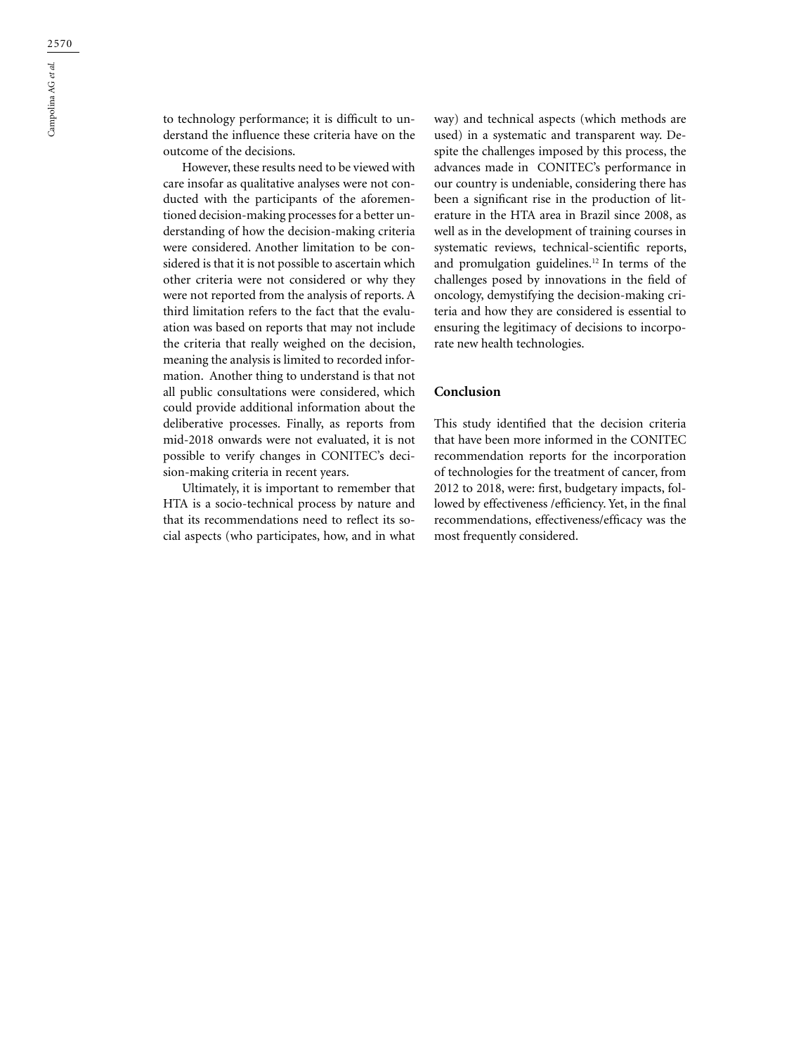to technology performance; it is difficult to understand the influence these criteria have on the outcome of the decisions.

However, these results need to be viewed with care insofar as qualitative analyses were not conducted with the participants of the aforementioned decision-making processes for a better understanding of how the decision-making criteria were considered. Another limitation to be considered is that it is not possible to ascertain which other criteria were not considered or why they were not reported from the analysis of reports. A third limitation refers to the fact that the evaluation was based on reports that may not include the criteria that really weighed on the decision, meaning the analysis is limited to recorded information. Another thing to understand is that not all public consultations were considered, which could provide additional information about the deliberative processes. Finally, as reports from mid-2018 onwards were not evaluated, it is not possible to verify changes in CONITEC's decision-making criteria in recent years.

Ultimately, it is important to remember that HTA is a socio-technical process by nature and that its recommendations need to reflect its social aspects (who participates, how, and in what

way) and technical aspects (which methods are used) in a systematic and transparent way. Despite the challenges imposed by this process, the advances made in CONITEC's performance in our country is undeniable, considering there has been a significant rise in the production of literature in the HTA area in Brazil since 2008, as well as in the development of training courses in systematic reviews, technical-scientific reports, and promulgation guidelines.12 In terms of the challenges posed by innovations in the field of oncology, demystifying the decision-making criteria and how they are considered is essential to ensuring the legitimacy of decisions to incorporate new health technologies.

# **Conclusion**

This study identified that the decision criteria that have been more informed in the CONITEC recommendation reports for the incorporation of technologies for the treatment of cancer, from 2012 to 2018, were: first, budgetary impacts, followed by effectiveness /efficiency. Yet, in the final recommendations, effectiveness/efficacy was the most frequently considered.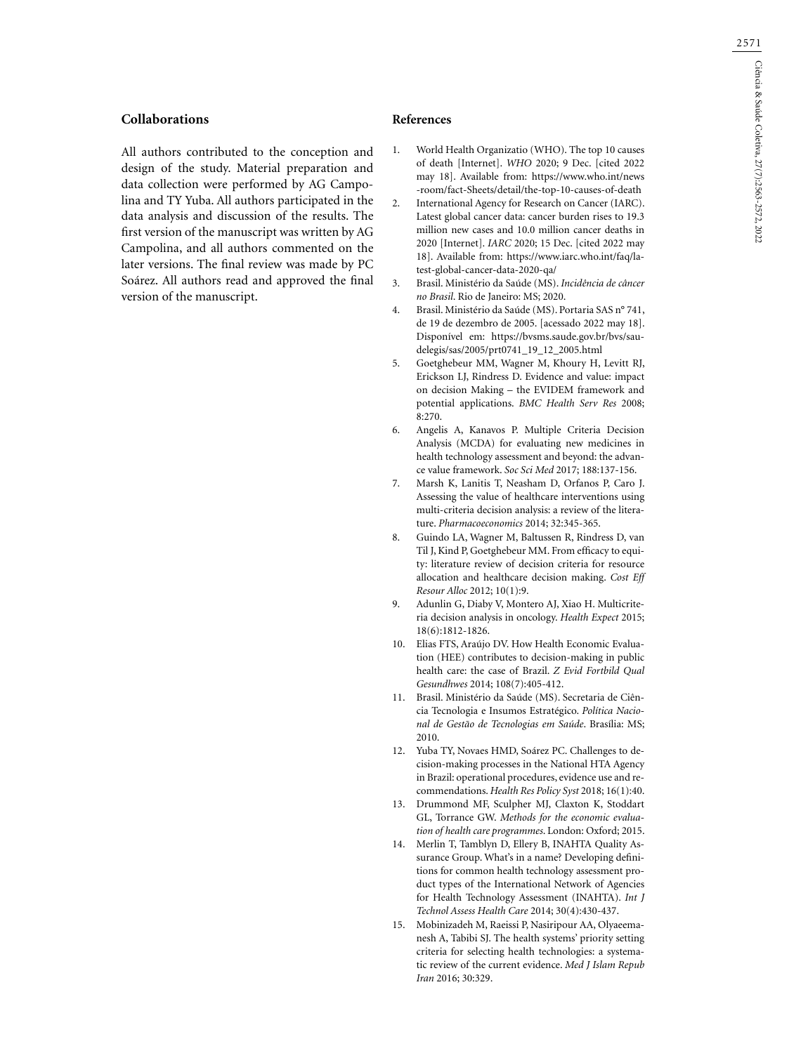## **Collaborations**

All authors contributed to the conception and design of the study. Material preparation and data collection were performed by AG Campolina and TY Yuba. All authors participated in the data analysis and discussion of the results. The first version of the manuscript was written by AG Campolina, and all authors commented on the later versions. The final review was made by PC Soárez. All authors read and approved the final version of the manuscript.

#### **References**

- 1. World Health Organizatio (WHO). The top 10 causes of death [Internet]. *WHO* 2020; 9 Dec. [cited 2022 may 18]. Available from: https://www.who.int/news -room/fact-Sheets/detail/the-top-10-causes-of-death
- 2. International Agency for Research on Cancer (IARC). Latest global cancer data: cancer burden rises to 19.3 million new cases and 10.0 million cancer deaths in 2020 [Internet]. *IARC* 2020; 15 Dec. [cited 2022 may 18]. Available from: https://www.iarc.who.int/faq/latest-global-cancer-data-2020-qa/
- 3. Brasil. Ministério da Saúde (MS). *Incidência de câncer no Brasil*. Rio de Janeiro: MS; 2020.
- 4. Brasil. Ministério da Saúde (MS). Portaria SAS n° 741, de 19 de dezembro de 2005. [acessado 2022 may 18]. Disponível em: https://bvsms.saude.gov.br/bvs/saudelegis/sas/2005/prt0741\_19\_12\_2005.html
- 5. Goetghebeur MM, Wagner M, Khoury H, Levitt RJ, Erickson LJ, Rindress D. Evidence and value: impact on decision Making – the EVIDEM framework and potential applications. *BMC Health Serv Res* 2008; 8:270.
- 6. Angelis A, Kanavos P. Multiple Criteria Decision Analysis (MCDA) for evaluating new medicines in health technology assessment and beyond: the advance value framework. *Soc Sci Med* 2017; 188:137-156.
- 7. Marsh K, Lanitis T, Neasham D, Orfanos P, Caro J. Assessing the value of healthcare interventions using multi-criteria decision analysis: a review of the literature. *Pharmacoeconomics* 2014; 32:345-365.
- 8. Guindo LA, Wagner M, Baltussen R, Rindress D, van Til J, Kind P, Goetghebeur MM. From efficacy to equity: literature review of decision criteria for resource allocation and healthcare decision making. *Cost Eff Resour Alloc* 2012; 10(1):9.
- 9. Adunlin G, Diaby V, Montero AJ, Xiao H. Multicriteria decision analysis in oncology. *Health Expect* 2015; 18(6):1812-1826.
- 10. Elias FTS, Araújo DV. How Health Economic Evaluation (HEE) contributes to decision-making in public health care: the case of Brazil. *Z Evid Fortbild Qual Gesundhwes* 2014; 108(7):405-412.
- 11. Brasil. Ministério da Saúde (MS). Secretaria de Ciência Tecnologia e Insumos Estratégico. *Política Nacional de Gestão de Tecnologias em Saúde*. Brasília: MS; 2010.
- 12. Yuba TY, Novaes HMD, Soárez PC. Challenges to decision-making processes in the National HTA Agency in Brazil: operational procedures, evidence use and recommendations. *Health Res Policy Syst* 2018; 16(1):40.
- 13. Drummond MF, Sculpher MJ, Claxton K, Stoddart GL, Torrance GW. *Methods for the economic evaluation of health care programmes*. London: Oxford; 2015.
- 14. Merlin T, Tamblyn D, Ellery B, INAHTA Quality Assurance Group. What's in a name? Developing definitions for common health technology assessment product types of the International Network of Agencies for Health Technology Assessment (INAHTA). *Int J Technol Assess Health Care* 2014; 30(4):430-437.
- 15. Mobinizadeh M, Raeissi P, Nasiripour AA, Olyaeemanesh A, Tabibi SJ. The health systems' priority setting criteria for selecting health technologies: a systematic review of the current evidence. *Med J Islam Repub Iran* 2016; 30:329.